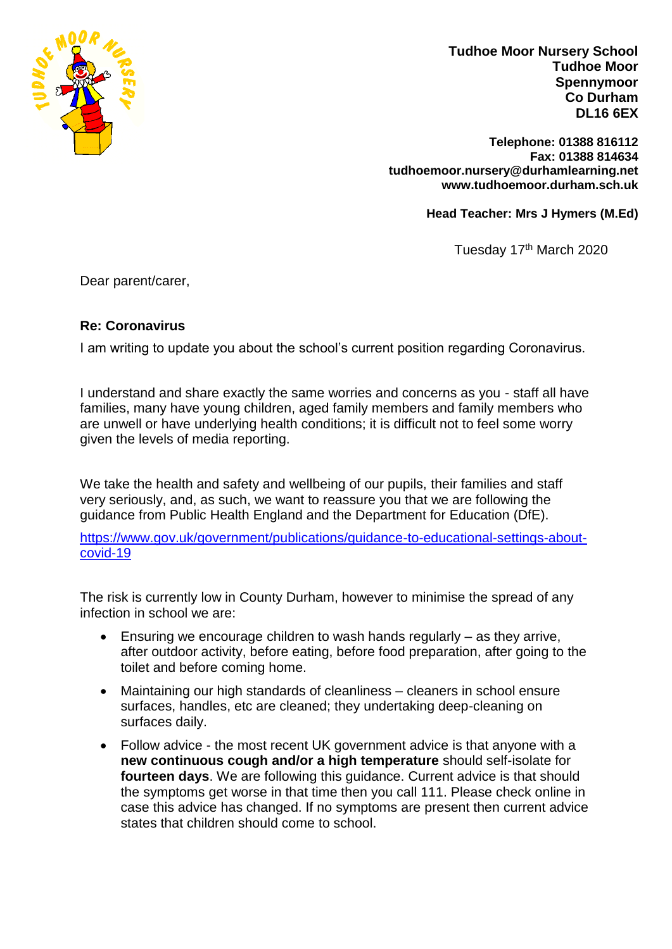

**Tudhoe Moor Nursery School Tudhoe Moor Spennymoor Co Durham DL16 6EX**

**Telephone: 01388 816112 Fax: 01388 814634 tudhoemoor.nursery@durhamlearning.net www.tudhoemoor.durham.sch.uk** 

**Head Teacher: Mrs J Hymers (M.Ed)**

Tuesday 17<sup>th</sup> March 2020

Dear parent/carer,

## **Re: Coronavirus**

I am writing to update you about the school's current position regarding Coronavirus.

I understand and share exactly the same worries and concerns as you - staff all have families, many have young children, aged family members and family members who are unwell or have underlying health conditions; it is difficult not to feel some worry given the levels of media reporting.

We take the health and safety and wellbeing of our pupils, their families and staff very seriously, and, as such, we want to reassure you that we are following the guidance from Public Health England and the Department for Education (DfE).

[https://www.gov.uk/government/publications/guidance-to-educational-settings-about](https://www.gov.uk/government/publications/guidance-to-educational-settings-about-covid-19)[covid-19](https://www.gov.uk/government/publications/guidance-to-educational-settings-about-covid-19)

The risk is currently low in County Durham, however to minimise the spread of any infection in school we are:

- Ensuring we encourage children to wash hands regularly as they arrive, after outdoor activity, before eating, before food preparation, after going to the toilet and before coming home.
- Maintaining our high standards of cleanliness cleaners in school ensure surfaces, handles, etc are cleaned; they undertaking deep-cleaning on surfaces daily.
- Follow advice the most recent UK government advice is that anyone with a **new continuous cough and/or a high temperature** should self-isolate for **fourteen days**. We are following this guidance. Current advice is that should the symptoms get worse in that time then you call 111. Please check online in case this advice has changed. If no symptoms are present then current advice states that children should come to school.